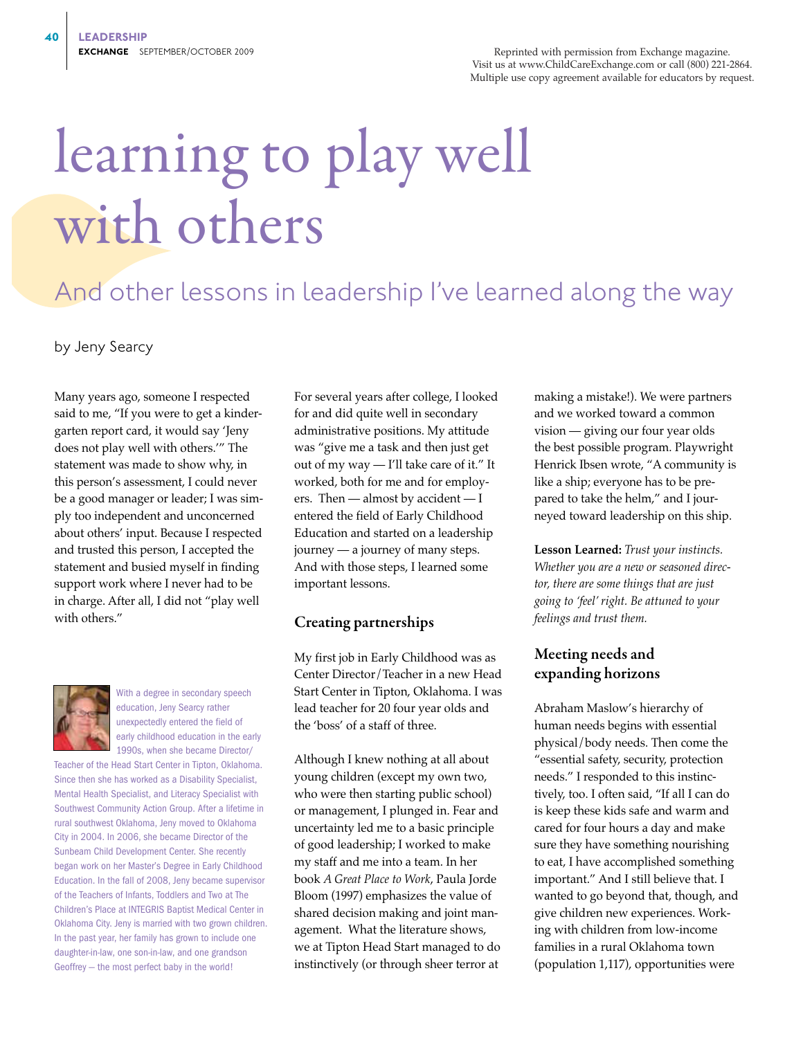Reprinted with permission from Exchange magazine. Visit us at www.ChildCareExchange.com or call (800) 221-2864. Multiple use copy agreement available for educators by request.

# learning to play well with others

# And other lessons in leadership I've learned along the way

by Jeny Searcy

Many years ago, someone I respected said to me, "If you were to get a kindergarten report card, it would say 'Jeny does not play well with others.'" The statement was made to show why, in this person's assessment, I could never be a good manager or leader; I was simply too independent and unconcerned about others' input. Because I respected and trusted this person, I accepted the statement and busied myself in finding support work where I never had to be in charge. After all, I did not "play well with others."



With a degree in secondary speech education, Jeny Searcy rather unexpectedly entered the field of early childhood education in the early 1990s, when she became Director/

Teacher of the Head Start Center in Tipton, Oklahoma. Since then she has worked as a Disability Specialist, Mental Health Specialist, and Literacy Specialist with Southwest Community Action Group. After a lifetime in rural southwest Oklahoma, Jeny moved to Oklahoma City in 2004. In 2006, she became Director of the Sunbeam Child Development Center. She recently began work on her Master's Degree in Early Childhood Education. In the fall of 2008, Jeny became supervisor of the Teachers of Infants, Toddlers and Two at The Children's Place at INTEGRIS Baptist Medical Center in Oklahoma City. Jeny is married with two grown children. In the past year, her family has grown to include one daughter-in-law, one son-in-law, and one grandson Geoffrey — the most perfect baby in the world!

For several years after college, I looked for and did quite well in secondary administrative positions. My attitude was "give me a task and then just get out of my way — I'll take care of it." It worked, both for me and for employers. Then — almost by accident — I entered the field of Early Childhood Education and started on a leadership journey — a journey of many steps. And with those steps, I learned some important lessons.

#### Creating partnerships

My first job in Early Childhood was as Center Director/Teacher in a new Head Start Center in Tipton, Oklahoma. I was lead teacher for 20 four year olds and the 'boss' of a staff of three.

Although I knew nothing at all about young children (except my own two, who were then starting public school) or management, I plunged in. Fear and uncertainty led me to a basic principle of good leadership; I worked to make my staff and me into a team. In her book *A Great Place to Work*, Paula Jorde Bloom (1997) emphasizes the value of shared decision making and joint management. What the literature shows, we at Tipton Head Start managed to do instinctively (or through sheer terror at

making a mistake!). We were partners and we worked toward a common vision — giving our four year olds the best possible program. Playwright Henrick Ibsen wrote, "A community is like a ship; everyone has to be prepared to take the helm," and I journeyed toward leadership on this ship.

**Lesson Learned:** *Trust your instincts. Whether you are a new or seasoned director, there are some things that are just going to 'feel' right. Be attuned to your feelings and trust them.*

# Meeting needs and expanding horizons

Abraham Maslow's hierarchy of human needs begins with essential physical/body needs. Then come the "essential safety, security, protection needs." I responded to this instinctively, too. I often said, "If all I can do is keep these kids safe and warm and cared for four hours a day and make sure they have something nourishing to eat, I have accomplished something important." And I still believe that. I wanted to go beyond that, though, and give children new experiences. Working with children from low-income families in a rural Oklahoma town (population 1,117), opportunities were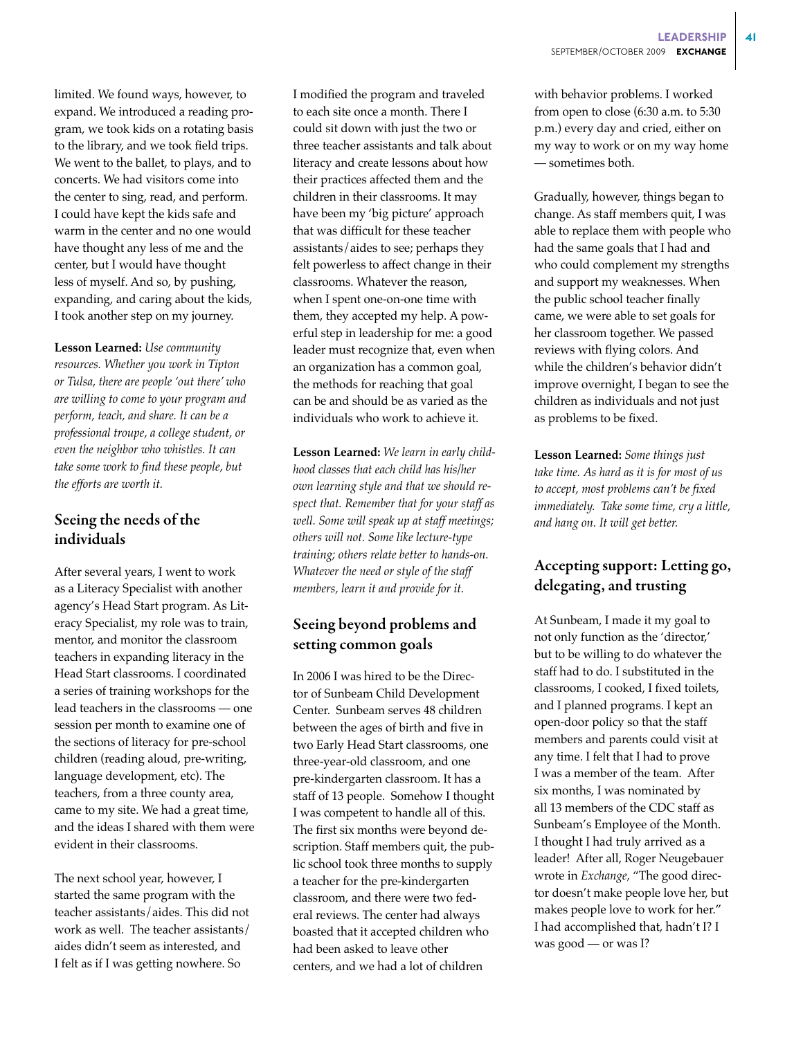limited. We found ways, however, to expand. We introduced a reading program, we took kids on a rotating basis to the library, and we took field trips. We went to the ballet, to plays, and to concerts. We had visitors come into the center to sing, read, and perform. I could have kept the kids safe and warm in the center and no one would have thought any less of me and the center, but I would have thought less of myself. And so, by pushing, expanding, and caring about the kids, I took another step on my journey.

**Lesson Learned:** *Use community resources. Whether you work in Tipton or Tulsa, there are people 'out there' who are willing to come to your program and perform, teach, and share. It can be a professional troupe, a college student, or even the neighbor who whistles. It can take some work to find these people, but the efforts are worth it.*

# Seeing the needs of the individuals

After several years, I went to work as a Literacy Specialist with another agency's Head Start program. As Literacy Specialist, my role was to train, mentor, and monitor the classroom teachers in expanding literacy in the Head Start classrooms. I coordinated a series of training workshops for the lead teachers in the classrooms — one session per month to examine one of the sections of literacy for pre-school children (reading aloud, pre-writing, language development, etc). The teachers, from a three county area, came to my site. We had a great time, and the ideas I shared with them were evident in their classrooms.

The next school year, however, I started the same program with the teacher assistants/aides. This did not work as well. The teacher assistants/ aides didn't seem as interested, and I felt as if I was getting nowhere. So

I modified the program and traveled to each site once a month. There I could sit down with just the two or three teacher assistants and talk about literacy and create lessons about how their practices affected them and the children in their classrooms. It may have been my 'big picture' approach that was difficult for these teacher assistants/aides to see; perhaps they felt powerless to affect change in their classrooms. Whatever the reason, when I spent one-on-one time with them, they accepted my help. A powerful step in leadership for me: a good leader must recognize that, even when an organization has a common goal, the methods for reaching that goal can be and should be as varied as the individuals who work to achieve it.

**Lesson Learned:** *We learn in early childhood classes that each child has his/her own learning style and that we should respect that. Remember that for your staff as well. Some will speak up at staff meetings; others will not. Some like lecture-type training; others relate better to hands-on. Whatever the need or style of the staff members, learn it and provide for it.*

# Seeing beyond problems and setting common goals

In 2006 I was hired to be the Director of Sunbeam Child Development Center. Sunbeam serves 48 children between the ages of birth and five in two Early Head Start classrooms, one three-year-old classroom, and one pre-kindergarten classroom. It has a staff of 13 people. Somehow I thought I was competent to handle all of this. The first six months were beyond description. Staff members quit, the public school took three months to supply a teacher for the pre-kindergarten classroom, and there were two federal reviews. The center had always boasted that it accepted children who had been asked to leave other centers, and we had a lot of children

with behavior problems. I worked from open to close (6:30 a.m. to 5:30 p.m.) every day and cried, either on my way to work or on my way home — sometimes both.

Gradually, however, things began to change. As staff members quit, I was able to replace them with people who had the same goals that I had and who could complement my strengths and support my weaknesses. When the public school teacher finally came, we were able to set goals for her classroom together. We passed reviews with flying colors. And while the children's behavior didn't improve overnight, I began to see the children as individuals and not just as problems to be fixed.

**Lesson Learned:** *Some things just take time. As hard as it is for most of us to accept, most problems can't be fixed immediately. Take some time, cry a little, and hang on. It will get better.*

# Accepting support: Letting go, delegating, and trusting

At Sunbeam, I made it my goal to not only function as the 'director,' but to be willing to do whatever the staff had to do. I substituted in the classrooms, I cooked, I fixed toilets, and I planned programs. I kept an open-door policy so that the staff members and parents could visit at any time. I felt that I had to prove I was a member of the team. After six months, I was nominated by all 13 members of the CDC staff as Sunbeam's Employee of the Month. I thought I had truly arrived as a leader! After all, Roger Neugebauer wrote in *Exchange,* "The good director doesn't make people love her, but makes people love to work for her." I had accomplished that, hadn't I? I was good — or was I?